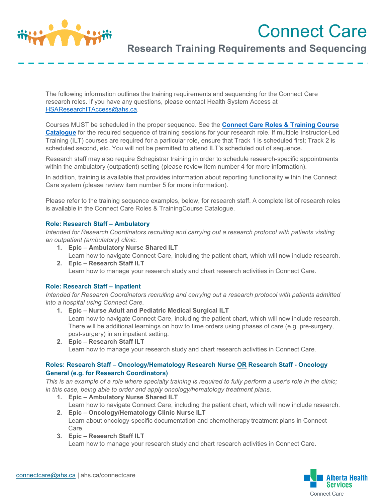

# Connect Care

# **Research Training Requirements and Sequencing**

The following information outlines the training requirements and sequencing for the Connect Care research roles. If you have any questions, please contact Health System Access at [HSAResearchITAccess@ahs.ca.](mailto:HSAResearchITAccess@ahs.ca)

Courses MUST be scheduled in the proper sequence. See the **[Connect Care Roles & Training Course](https://insite.albertahealthservices.ca/main/assets/cis/tms-cis-training-catalogue.xlsx) [Catalogue](https://insite.albertahealthservices.ca/main/assets/cis/tms-cis-training-catalogue.xlsx)** for the required sequence of training sessions for your research role. If multiple Instructor-Led Training (ILT) courses are required for a particular role, ensure that Track 1 is scheduled first; Track 2 is scheduled second, etc. You will not be permitted to attend ILT's scheduled out of sequence.

Research staff may also require Schegistrar training in order to schedule research-specific appointments within the ambulatory (outpatient) setting (please review item number 4 for more information).

In addition, training is available that provides information about reporting functionality within the Connect Care system (please review item number 5 for more information).

Please refer to the training sequence examples, below, for research staff. A complete list of research roles is available in the Connect Care Roles & TrainingCourse Catalogue.

### **Role: Research Staff – Ambulatory**

*Intended for Research Coordinators recruiting and carrying out a research protocol with patients visiting an outpatient (ambulatory) clinic.*

- **1. Epic – Ambulatory Nurse Shared ILT** Learn how to navigate Connect Care, including the patient chart, which will now include research.
- **2. Epic – Research Staff ILT** Learn how to manage your research study and chart research activities in Connect Care.

### **Role: Research Staff – Inpatient**

*Intended for Research Coordinators recruiting and carrying out a research protocol with patients admitted into a hospital using Connect Care.*

- **1. Epic – Nurse Adult and Pediatric Medical Surgical ILT** Learn how to navigate Connect Care, including the patient chart, which will now include research. There will be additional learnings on how to time orders using phases of care (e.g. pre-surgery, post-surgery) in an inpatient setting.
- **2. Epic – Research Staff ILT** Learn how to manage your research study and chart research activities in Connect Care.

## **Roles: Research Staff – Oncology/Hematology Research Nurse OR Research Staff - Oncology General (e.g. for Research Coordinators)**

*This is an example of a role where specialty training is required to fully perform a user's role in the clinic; in this case, being able to order and apply oncology/hematology treatment plans.*

- **1. Epic – Ambulatory Nurse Shared ILT** Learn how to navigate Connect Care, including the patient chart, which will now include research. **2. Epic – Oncology/Hematology Clinic Nurse ILT**
- Learn about oncology-specific documentation and chemotherapy treatment plans in Connect Care.
- **3. Epic – Research Staff ILT** Learn how to manage your research study and chart research activities in Connect Care.

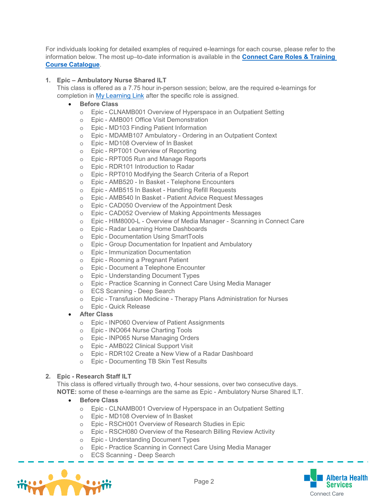For individuals looking for detailed examples of required e-learnings for each course, please refer to the information below. The most up–to-date information is available in the **[Connect](https://insite.albertahealthservices.ca/main/assets/cis/tms-cis-training-catalogue.xlsx) Care Roles & Training Course [Catalogue](https://insite.albertahealthservices.ca/main/assets/cis/tms-cis-training-catalogue.xlsx)**.

### **1. Epic – Ambulatory Nurse Shared ILT**

This class is offered as a 7.75 hour in-person session; below, are the required e-learnings for completion in My [Learning](https://mylearninglink.albertahealthservices.ca/elearning/bins/index.asp) Link after the specific role is assigned.

### • **Before Class**

- o Epic CLNAMB001 Overview of Hyperspace in an Outpatient Setting
- o Epic AMB001 Office Visit Demonstration
- o Epic MD103 Finding Patient Information
- o Epic MDAMB107 Ambulatory Ordering in an Outpatient Context
- Epic MD108 Overview of In Basket
- o Epic RPT001 Overview of Reporting
- o Epic RPT005 Run and Manage Reports<br>
o Epic RDR101 Introduction to Radar
- Epic RDR101 Introduction to Radar
- o Epic RPT010 Modifying the Search Criteria of a Report
- o Epic AMB520 In Basket Telephone Encounters
- Epic AMB515 In Basket Handling Refill Requests
- o Epic AMB540 In Basket Patient Advice Request Messages
- o Epic CAD050 Overview of the Appointment Desk<br>
o Epic CAD052 Overview of Making Appointments I
- Epic CAD052 Overview of Making Appointments Messages
- o Epic HIM8000-L Overview of Media Manager Scanning in Connect Care
- o Epic Radar Learning Home Dashboards<br>
o Epic Documentation Using SmartTools
- Epic Documentation Using SmartTools
- o Epic Group Documentation for Inpatient and Ambulatory
- o Epic Immunization Documentation
- o Epic Rooming a Pregnant Patient
- o Epic Document a Telephone Encounter
- o Epic Understanding Document Types
- o Epic Practice Scanning in Connect Care Using Media Manager
- o ECS Scanning Deep Search
- o Epic Transfusion Medicine Therapy Plans Administration for Nurses
- o Epic Quick Release
- **After Class**
	- o Epic INP060 Overview of Patient Assignments
	- o Epic INO064 Nurse Charting Tools
	- o Epic INP065 Nurse Managing Orders
	- o Epic AMB022 Clinical Support Visit
	- o Epic RDR102 Create a New View of a Radar Dashboard
	- o Epic Documenting TB Skin Test Results

#### **2. Epic - Research Staff ILT**

This class is offered virtually through two, 4-hour sessions, over two consecutive days. **NOTE:** some of these e-learnings are the same as Epic - Ambulatory Nurse Shared ILT.

- **Before Class**
	- o Epic CLNAMB001 Overview of Hyperspace in an Outpatient Setting
	- o Epic MD108 Overview of In Basket
	- o Epic RSCH001 Overview of Research Studies in Epic
	- o Epic RSCH080 Overview of the Research Billing Review Activity
	- o Epic Understanding Document Types
	- o Epic Practice Scanning in Connect Care Using Media Manager
	- o ECS Scanning Deep Search